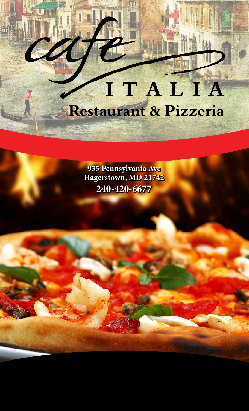# ITALIA Restaurant & Pizzeria

**935 Pennsylvania Ave 935 Pennsylvania Ave Hagerstown, MD 21742 Hagerstown, MD 21742 240-420-6677 240-420-6677**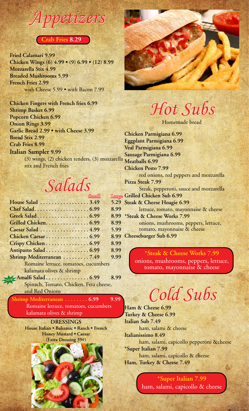#### *Appetizers* **Crab Fries 8.29**

**Fried Calamari 9.99 Chicken Wings (6) 4.99 • (9) 6.99 • (12) 8.99 Mozzarella Stix 4.99 Breaded Mushrooms 5.99 French Fries 2.99** with Cheese 5.99 • with Bacon 7.99

**Chicken Fingers with French fries 6.99 Shrimp Basket 6.99 Popcorn Chicken 6.99 Onion Rings 3.99 Garlic Bread 2.99 • with Cheese 3.99 Bread Stix 2.99 Crab Fries 8.99**

**Italian Sampler 9.99**

(3) wings, (2) chicken tenders, (3) mozzarella **Meatballs 6.99** stix and French fries

#### *Salads*

| <b>Small</b>                           | Larg                 |
|----------------------------------------|----------------------|
| House Salad 3.49                       | 5.29                 |
| Chef Salad6.99                         | 8.99                 |
|                                        | 8.99                 |
| Grilled Chicken 6.99                   | 8.99                 |
| Caesar Salad 4.99                      | 5.99                 |
| Chicken Caesar 6.99                    | 8.99                 |
| Crispy Chicken 6.99                    | 8.99                 |
| Antipasto Salad 6.99                   | 8.99                 |
| Shrimp Mediterranean 7.49              | 9.99                 |
| Romaine lettuce, tomatoes, cucumbers   |                      |
|                                        |                      |
|                                        | 8.99                 |
| Spinach, Tomato, Chicken, Feta cheese, |                      |
|                                        | NEW Amalfi Salad6.99 |

and Red Onions

**Shrimp Mediterranean . . . . . . . . 6.99** 9.99 Romaine lettuce, tomatoes, cucumbers kalamata olives & shrimp

> **DRESSINGS House Italian • Balsamic • Ranch • French Honey Mustard • Caesar (Extra Dressing 39¢)**



## *Hot Subs*

Homemade bread

Small Large **Grilled Chicken Sub 6.99 Chicken Parmigiana 6.99 Eggplant Parmigiana 6.99 Veal Parmigiana 6.99 Sausage Parmigiana 6.99 Chicken Pesto 7.99** red onions, red peppers and mozzarella **Pizza Steak 7.99** Steak, pepperoni, sauce and mozzarella **Steak & Cheese Hoagie 6.99** lettuce, tomato, mayonnaise & cheese **\*Steak & Cheese Works 7.99** onions, mushrooms, peppers, lettuce, tomato, mayonnaise & cheese **Cheeseburger Sub 6.99**

> **\*Steak & Cheese Works 7.99** onions, mushrooms, peppers, lettuce, tomato, mayonnaise & cheese



**Ham & Cheese 6.99 Turkey & Cheese 6.99 Italian Sub 7.49** ham, salami & cheese **Italianissimo 8.49** ham, salami, capicollo pepperoni &cheese **\*Super Italian 7.99** ham, salami, capicollo & cheese **Ham, Turkey & Cheese 7.49**

> **\*Super Italian 7.99** ham, salami, capicollo & cheese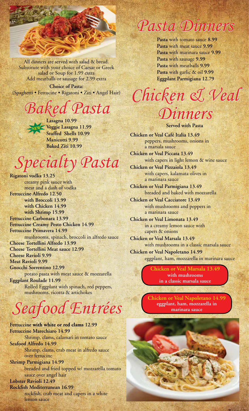

All dinners are served with salad & bread. Substitute with your choice of Caesar or Greek salad or Soup for 1.99 extra Add meatballs or sausage for 2.99 extra

**Choice of Pasta:** (Spaghetti • Fettucine • Rigatoni • Ziti • Angel Hair)

### *Baked Pasta*

**Lasagna 10.99 Veggie Lasagna 11.99 Stuffed Shells 10.99 Manicotti 9.99 Baked Ziti 10.99 NEW**

## *Specialty Pasta*

**Rigatoni vodka 13.25** creamy pink sauce with meat and a dash of vodka **Fettuccine Alfredo 12.50 with Broccoli 13.99 with Chicken 14.99 with Shrimp 15.99 Fettuccine Carbonara 13.99 Fettuccine Creamy Pesto Chicken 14.99 Fettuccine Primavera 14.99** mushrooms, spinach, broccoli in alfredo sauce **Cheese Tortellini Alfredo 13.99 Cheese Tortellini Meat sauce 12.99 Cheese Ravioli 9.99 Meat Ravioli 9.99 Gnocchi Sorrentino 12.99** potato pasta with meat sauce & mozzarella **Eggplant Roulade 11.99** Rolled Eggplant with spinach, red peppers, mushrooms, ricotta & artichokes

## *Seafood Entrées*

**Fettuccine with white or red clams 12.99 Fettuccine Marechiaro 14.99** Shrimp, clams, calamari in tomato sauce **Seafood Alfredo 14.99** Shrimp, clams, crab meat in alfredo sauce over fettucine **Shrimp Parmigiana 14.99** breaded and fried topped w/ mozzarella tomato sauce over angel hair **Lobster Ravioli 12.49 Rockfish Mediterranean 16.99** rockfish, crab meat and capers in a white lemon sauce

## *Pasta Dinners*

**Pasta** with tomato sauce **8.99 Pasta** with meat sauce **9.99 Pasta** with marinara sauce **9.99 Pasta** with sausage **9.99 Pasta** with meatballs **9.99 Pasta** with garlic & oil **9.99 Eggplant Parmigiana 12.79**

*Chicken & Veal Dinners*

**Served with Pasta**

**Chicken or Veal Café Italia 13.49** peppers, mushrooms, onions in a marsala sauce

**Chicken or Veal Piccata 13.49** with capers in light lemon & wine sauce

**Chicken or Veal Pizzaiola 13.49** with capers, kalamata olives in a marinara sauce

**Chicken or Veal Parmigiana 13.49** breaded and baked with mozzarella

**Chicken or Veal Cacciatore 13.49** with mushrooms and peppers in a marinara sauce

**Chicken or Veal Limonata 13.49** in a creamy lemon sauce with capers & onions

**Chicken or Veal Marsala 13.49** with mushrooms in a classic marsala sauce **Chicken or Veal Napoletano 14.99**

eggplant, ham, mozzarella in marinara sauce

**Chicken or Veal Marsala 13.49 with mushrooms in a classic marsala sauce**

**Chicken or Veal Napoletano 14.99 eggplant, ham, mozzarella in marinara sauce**

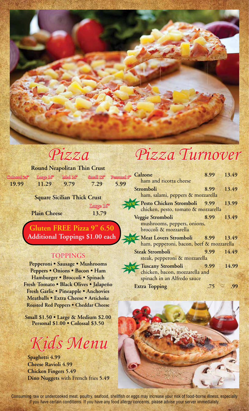

#### *Pizza*

#### **Round Neapolitan Thin Crust**

**19.99 11.29 9.79 7.29 5.99** Colossal  $24^\circ$  Large 16" Med 14" Small 12" Personal

**Square Sicilian Thick Crust**

Large 16"

**Plain Cheese 13.79**

**Gluten FREE Pizza 9" 6.50 Additional Toppings \$1.00 each**

#### **TOPPINGS**

**Pepperoni • Sausage • Mushrooms Peppers • Onions • Bacon • Ham Hamburger • Broccoli • Spinach Fresh Tomato • Black Olives • Jalapeño Fresh Garlic • Pineapple • Anchovies Meatballs • Extra Cheese • Artichoke Roasted Red Peppers • Cheddar Cheese**

**Small \$1.50 • Large & Medium \$2.00 Personal \$1.00 • Colossal \$3.50**

*Kids Menu*

**Spaghetti 4.99 Cheese Ravioli 4.99 Chicken Fingers 5.49 Dino Nuggets** with French fries **5.49**

## *Pizza Turnover*

| ൙ | <b>Calzone</b>                           | 8.99 13.49 |       |
|---|------------------------------------------|------------|-------|
|   | ham and ricotta cheese                   |            |       |
|   | Stromboli                                | 8.99 13.49 |       |
|   | ham, salami, peppers & mozzarella        |            |       |
|   | <b>NEW Pesto Chicken Stromboli</b> 9.99  |            | 13.99 |
|   | chicken, pesto, tomato & mozzarella      |            |       |
|   | Veggie Stromboli                         | 8.99 13.49 |       |
|   | mushrooms, peppers, onions,              |            |       |
|   | broccoli & mozzarella                    |            |       |
|   | NEW Meat Lovers Stromboli 8.99 13.49     |            |       |
|   | ham, pepperoni, bacon, beef & mozzarella |            |       |
|   | <b>Steak Stromboli</b>                   | 9.99 14.49 |       |
|   | steak, pepperoni & mozzarella            |            |       |
|   | NEW Tuscany Stromboli                    | 9.99       | 14.99 |
|   | chicken, bacon, mozzarella and           |            |       |
|   | spinach in an Alfredo sauce              |            |       |
|   | <b>Extra Topping</b>                     | .75        |       |



Consuming raw or undercooked meat, poultry, seafood, shellfish or eggs may increase your risk of food-borne illness, especially if you have certain conditions. If you have any food allergy concerns, please advise your server immediately.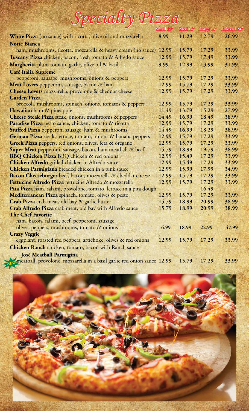| Specialty Pizza                                                    |                        |                     |                       |              |
|--------------------------------------------------------------------|------------------------|---------------------|-----------------------|--------------|
|                                                                    | Small 12 <sup>99</sup> | Med 14 <sup>p</sup> | Large 16 <sup>p</sup> | Colossal 24" |
| White Pizza (no sauce) with ricotta, olive oil and mozzarella      | 8.99                   | 11.29               | 12.79                 | 26.99        |
| <b>Notte Bianca</b>                                                |                        |                     |                       |              |
| ham, mushrooms, ricotta, mozzarella & heavy cream (no sauce) 12.99 |                        | 15.79               | 17.29                 | 33.99        |
| Tuscany Pizza chicken, bacon, fresh tomato & Alfredo sauce         | 12.99                  | 15.79               | 17.49                 | 33.99        |
| Margherita plum tomato, garlic, olive oil & basil                  | 9.99                   | 12.99               | 13.99                 | 31.99        |
| <b>Café Italia Supreme</b>                                         |                        |                     |                       |              |
| pepperoni, sausage, mushrooms, onions & peppers                    | 12.99                  | 15.79               | 17.29                 | 33.99        |
| Meat Lovers pepperoni, sausage, bacon & ham                        | 12.99                  | 15.79               | 17.29                 | 33.99        |
| Cheese Lovers mozzarella, provolone & cheddar cheese               | 12.99                  | 15.79               | 17.29                 | 33.99        |
| <b>Garden Pizza</b>                                                |                        |                     |                       |              |
| broccoli, mushrooms, spinach, onions, tomatos & peppers            | 12.99                  | 15.79               | 17.29                 | 33.99        |
| Hawaiian ham & pineapple                                           | 11.49                  | 13.79               | 15.29                 | 27.99        |
| <b>Cheese Steak Pizza</b> steak, onions, mushrooms & peppers       | 14.49                  | 16.99               | 18.49                 | 38.99        |
| Paradise Pizza pesto sauce, chicken, tomato & ricotta              | 12.99                  | 15.79               | 17.29                 | 33.99        |
| Stuffed Pizza pepperoni sausage, ham & mushrooms                   | 14.49                  | 16.99               | 18.29                 | 38.99        |
| German Pizza steak, lettuce, tomato, onions & banana peppers       | 12.99                  | 15.79               | 17.29                 | 33.99        |
| Greek Pizza peppers, red onions, olives, feta & oregano            | 12.99                  | 15.79               | 17.29                 | 33.99        |
| Super Meat pepperoni, sausage, bacon, ham meatball & beef          | 15.79                  | 18.99               | 19.79                 | 38.99        |
| <b>BBQ Chicken Pizza BBQ chicken &amp; red onions</b>              | 12.99                  | 15.49               | 17.29                 | 33.99        |
| Chicken Alfredo grilled chicken in Alfredo sauce                   | 12.99                  | 15.49               | 17.29                 | 33.99        |
| Chicken Parmigiana breaded chicken in a pink sauce                 | 12.99                  | 15.99               | 17.99                 | 34.99        |
| Bacon Cheeseburger beef, bacon, mozzarella & cheddar cheese        | 12.99                  | 15.79               | 17.29                 | 33.99        |
| Fettucine Alfredo Pizza fettucine Alfredo & mozzarella             | 12.99                  | 15.79               | 17.29                 | 33.99        |
| Pita Pizza ham, salami, provolone, tomato, lettuce in a pita dough |                        |                     | 16.49                 |              |
| Mediterranean Pizza spinach, tomato, olives & pesto                | 12.99                  | 15.79               | 17.29                 | 33.99        |
| Crab Pizza crab meat, old bay & garlic butter                      | 15.79                  | 18.99               | 20.99                 | 38.99        |
| Crab Alfredo Pizza crab meat, old bay with Alfredo sauce           | 15.79                  | 18.99               | 20.99                 | 38.99        |
| <b>The Chef Favorite</b>                                           |                        |                     |                       |              |
| ham, bacon, salami, beef, pepperoni, sausage,                      |                        |                     |                       |              |
| olives, peppers, mushrooms, tomato & onions                        | 16.99                  | 18.99               | 22.99                 | 47.99        |
| <b>Crazy Veggie</b>                                                |                        |                     |                       |              |
| eggplant, roasted red peppers, artichoke, olives & red onions      | 12.99                  | 15.79               | 17.29                 | 33.99        |
| Chicken Ranch chicken, tomato, bacon with Ranch sauce              |                        |                     |                       |              |
| <b>José Meatball Parmigina</b>                                     |                        |                     |                       |              |

meatball, provolone, mozzarella in a basil garlic red onion sauce **12.99 15.79 17.29 33.99 NEW**